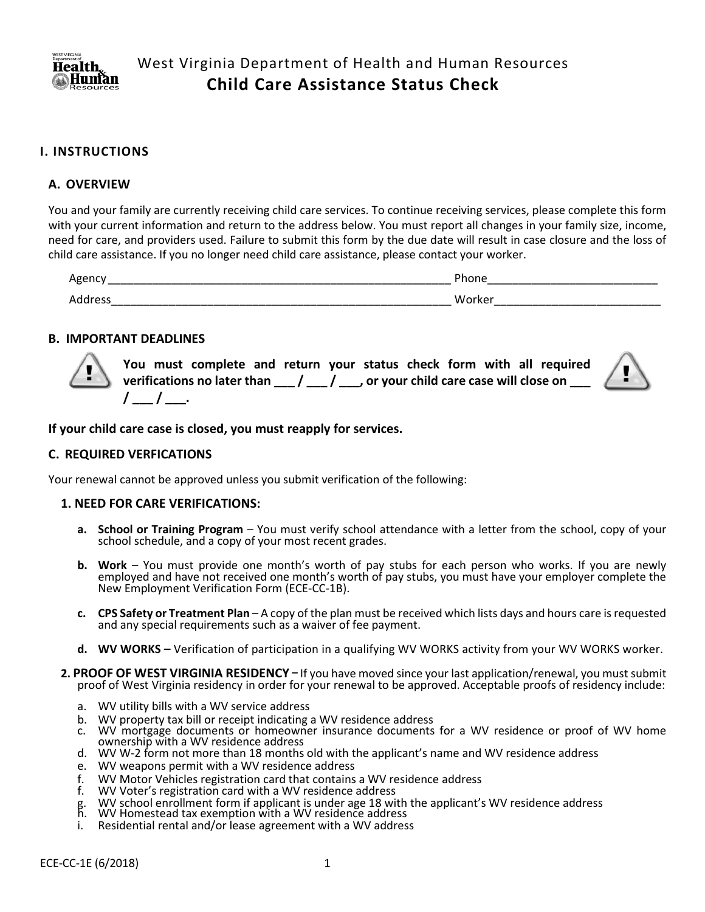

## **I. INSTRUCTIONS**

## **A. OVERVIEW**

You and your family are currently receiving child care services. To continue receiving services, please complete this form with your current information and return to the address below. You must report all changes in your family size, income, need for care, and providers used. Failure to submit this form by the due date will result in case closure and the loss of child care assistance. If you no longer need child care assistance, please contact your worker.

| . .<br>________<br>______ | -<br>، اب<br>1 I C                                      |
|---------------------------|---------------------------------------------------------|
| ູບບ<br>__<br>__________   | W.<br>וסו ושי<br>. .<br>______________________<br>_____ |

### **B. IMPORTANT DEADLINES**



**You must complete and return your status check form with all required verifications no later than \_\_\_ / \_\_\_ / \_\_\_, or your child care case will close on \_\_\_ / \_\_\_ / \_\_\_.**



## **If your child care case is closed, you must reapply for services.**

### **C. REQUIRED VERFICATIONS**

Your renewal cannot be approved unless you submit verification of the following:

### **1. NEED FOR CARE VERIFICATIONS:**

- **a. School or Training Program** You must verify school attendance with a letter from the school, copy of your school schedule, and a copy of your most recent grades.
- **b. Work** You must provide one month's worth of pay stubs for each person who works. If you are newly employed and have not received one month's worth of pay stubs, you must have your employer complete the New Employment Verification Form (ECE-CC-1B).
- **c. CPS Safety or Treatment Plan** A copy of the plan must be received which lists days and hours care is requested and any special requirements such as a waiver of fee payment.
- **d. WV WORKS –** Verification of participation in a qualifying WV WORKS activity from your WV WORKS worker.
- **2. PROOF OF WEST VIRGINIA RESIDENCY** If you have moved since your last application/renewal, you must submit proof of West Virginia residency in order for your renewal to be approved. Acceptable proofs of residency include:
	- a. WV utility bills with a WV service address
	- b. WV property tax bill or receipt indicating a WV residence address
	- c. WV mortgage documents or homeowner insurance documents for a WV residence or proof of WV home ownership with a WV residence address
	- d. WV W-2 form not more than 18 months old with the applicant's name and WV residence address
	- e. WV weapons permit with a WV residence address
	- f. WV Motor Vehicles registration card that contains a WV residence address
	- WV Voter's registration card with a WV residence address
	- g. WV school enrollment form if applicant is under age 18 with the applicant's WV residence address
	- h. WV Homestead tax exemption with a WV residence address
	- i. Residential rental and/or lease agreement with a WV address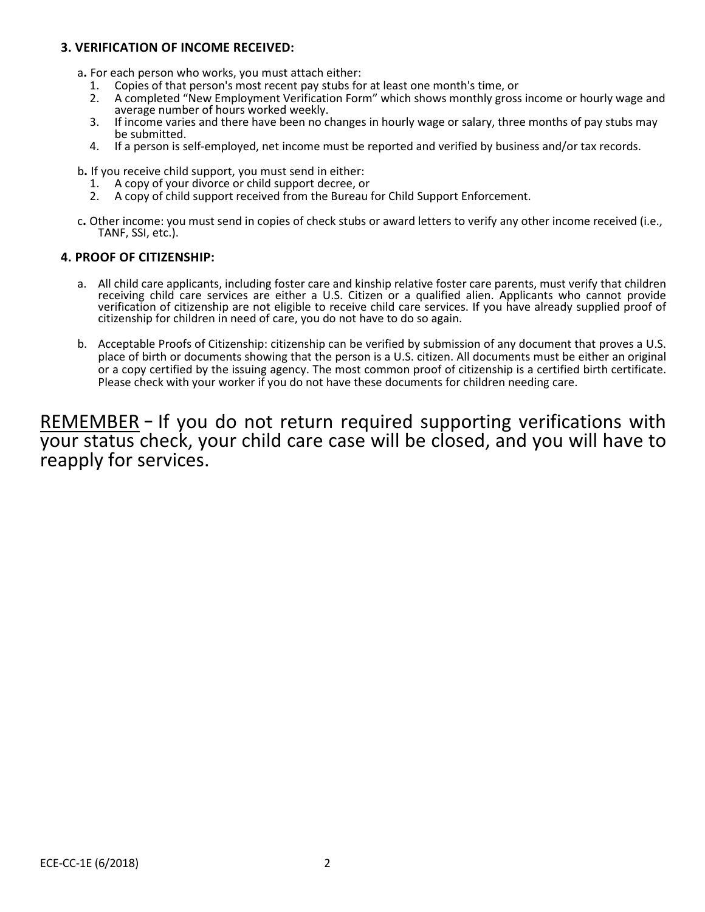### **3. VERIFICATION OF INCOME RECEIVED:**

- a**.** For each person who works, you must attach either:
	- 1. Copies of that person's most recent pay stubs for at least one month's time, or
	- 2. A completed "New Employment Verification Form" which shows monthly gross income or hourly wage and average number of hours worked weekly.
	- 3. If income varies and there have been no changes in hourly wage or salary, three months of pay stubs may be submitted.
	- 4. If a person is self-employed, net income must be reported and verified by business and/or tax records.
- b**.** If you receive child support, you must send in either:
	- 1. A copy of your divorce or child support decree, or
	- 2. A copy of child support received from the Bureau for Child Support Enforcement.
- c**.** Other income: you must send in copies of check stubs or award letters to verify any other income received (i.e., TANF, SSI, etc.).

## **4. PROOF OF CITIZENSHIP:**

- a. All child care applicants, including foster care and kinship relative foster care parents, must verify that children receiving child care services are either a U.S. Citizen or a qualified alien. Applicants who cannot provide verification of citizenship are not eligible to receive child care services. If you have already supplied proof of citizenship for children in need of care, you do not have to do so again.
- b. Acceptable Proofs of Citizenship: citizenship can be verified by submission of any document that proves a U.S. place of birth or documents showing that the person is a U.S. citizen. All documents must be either an original or a copy certified by the issuing agency. The most common proof of citizenship is a certified birth certificate. Please check with your worker if you do not have these documents for children needing care.

REMEMBER – If you do not return required supporting verifications with your status check, your child care case will be closed, and you will have to reapply for services.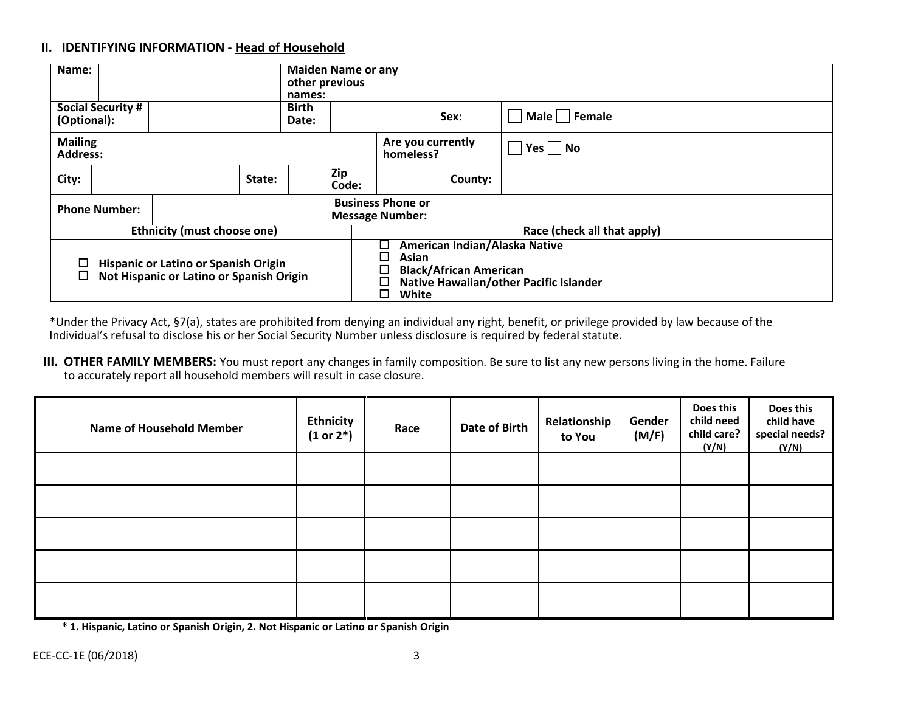## **II. IDENTIFYING INFORMATION - Head of Household**

| Name:                                                                                 |                        |                                    | names:                                             | Maiden Name or any<br>other previous |                                |                                                                         |                                                               |
|---------------------------------------------------------------------------------------|------------------------|------------------------------------|----------------------------------------------------|--------------------------------------|--------------------------------|-------------------------------------------------------------------------|---------------------------------------------------------------|
| <b>Social Security #</b><br>(Optional):                                               |                        |                                    | <b>Birth</b><br>Date:                              |                                      |                                | Sex:                                                                    | $\overline{\phantom{a}}$ Male $\overline{\phantom{a}}$ Female |
| <b>Mailing</b><br><b>Address:</b>                                                     |                        |                                    |                                                    |                                      | Are you currently<br>homeless? |                                                                         | $Yes \mid No$                                                 |
| City:                                                                                 | Zip<br>State:<br>Code: |                                    |                                                    |                                      |                                | County:                                                                 |                                                               |
| <b>Phone Number:</b>                                                                  |                        |                                    | <b>Business Phone or</b><br><b>Message Number:</b> |                                      |                                |                                                                         |                                                               |
|                                                                                       |                        | <b>Ethnicity (must choose one)</b> |                                                    |                                      |                                |                                                                         | Race (check all that apply)                                   |
| Hispanic or Latino or Spanish Origin<br>Not Hispanic or Latino or Spanish Origin<br>□ |                        |                                    |                                                    | Asian<br>П<br>□<br>White<br>П        | <b>Black/African American</b>  | American Indian/Alaska Native<br>Native Hawaiian/other Pacific Islander |                                                               |

\*Under the Privacy Act, §7(a), states are prohibited from denying an individual any right, benefit, or privilege provided by law because of the Individual's refusal to disclose his or her Social Security Number unless disclosure is required by federal statute.

**III. OTHER FAMILY MEMBERS:** You must report any changes in family composition. Be sure to list any new persons living in the home. Failure to accurately report all household members will result in case closure.

| <b>Name of Household Member</b> | <b>Ethnicity</b><br>$(1 or 2^*)$ | Race | Date of Birth | Relationship<br>to You | Gender<br>(M/F) | Does this<br>child need<br>child care?<br>(Y/N) | Does this<br>child have<br>special needs?<br>(Y/N) |
|---------------------------------|----------------------------------|------|---------------|------------------------|-----------------|-------------------------------------------------|----------------------------------------------------|
|                                 |                                  |      |               |                        |                 |                                                 |                                                    |
|                                 |                                  |      |               |                        |                 |                                                 |                                                    |
|                                 |                                  |      |               |                        |                 |                                                 |                                                    |
|                                 |                                  |      |               |                        |                 |                                                 |                                                    |
|                                 |                                  |      |               |                        |                 |                                                 |                                                    |

**\* 1. Hispanic, Latino or Spanish Origin, 2. Not Hispanic or Latino or Spanish Origin**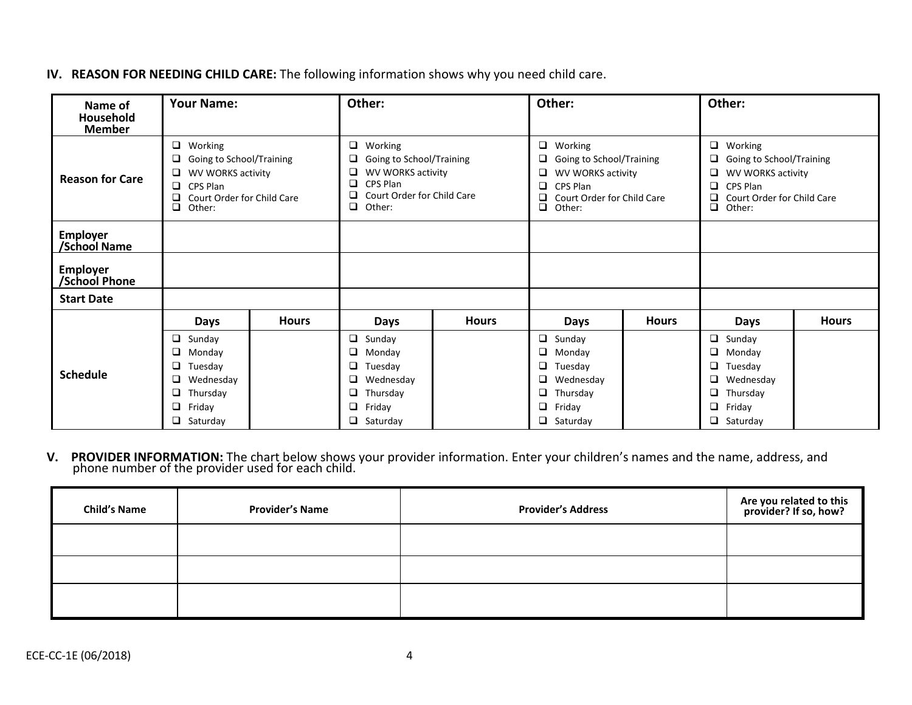# **IV. REASON FOR NEEDING CHILD CARE:** The following information shows why you need child care.

| Name of<br>Household<br><b>Member</b> | <b>Your Name:</b>                                                                                                                |              | Other:                                                                                                                                               |              | Other:                                                                                                                                                   |              | Other:                                                                                                                                                                   |              |
|---------------------------------------|----------------------------------------------------------------------------------------------------------------------------------|--------------|------------------------------------------------------------------------------------------------------------------------------------------------------|--------------|----------------------------------------------------------------------------------------------------------------------------------------------------------|--------------|--------------------------------------------------------------------------------------------------------------------------------------------------------------------------|--------------|
| <b>Reason for Care</b>                | Working<br>Going to School/Training<br>WV WORKS activity<br>O<br>□<br>CPS Plan<br>□<br>Court Order for Child Care<br>□<br>Other: |              | $\Box$<br>Working<br>Going to School/Training<br>□<br>WV WORKS activity<br>$\Box$<br>CPS Plan<br>Court Order for Child Care<br>□<br>$\Box$<br>Other: |              | $\Box$ Working<br>$\Box$ Going to School/Training<br>WV WORKS activity<br>$\Box$<br>CPS Plan<br>$\Box$<br>Court Order for Child Care<br>$\Box$<br>Other: |              | $\Box$<br>Working<br>$\Box$<br>Going to School/Training<br>$\Box$<br>WV WORKS activity<br>$\Box$<br>CPS Plan<br>$\Box$<br>Court Order for Child Care<br>$\Box$<br>Other: |              |
| <b>Employer</b><br>/School Name       |                                                                                                                                  |              |                                                                                                                                                      |              |                                                                                                                                                          |              |                                                                                                                                                                          |              |
| <b>Employer</b><br>/School Phone      |                                                                                                                                  |              |                                                                                                                                                      |              |                                                                                                                                                          |              |                                                                                                                                                                          |              |
| <b>Start Date</b>                     |                                                                                                                                  |              |                                                                                                                                                      |              |                                                                                                                                                          |              |                                                                                                                                                                          |              |
|                                       | <b>Days</b>                                                                                                                      | <b>Hours</b> | Days                                                                                                                                                 | <b>Hours</b> | <b>Days</b>                                                                                                                                              | <b>Hours</b> | <b>Days</b>                                                                                                                                                              | <b>Hours</b> |
| <b>Schedule</b>                       | $\Box$ Sunday<br>O<br>Monday<br>Tuesday<br>❏<br>❏<br>Wednesday<br>O<br>Thursday<br>❏<br>Friday<br>$\Box$ Saturday                |              | $\Box$<br>Sunday<br>□<br>Monday<br>□<br>Tuesday<br>□<br>Wednesday<br>$\Box$<br>Thursday<br>$\Box$<br>Friday<br>$\Box$ Saturday                       |              | $\Box$ Sunday<br>$\Box$<br>Monday<br>$\Box$<br>Tuesday<br>$\Box$<br>Wednesday<br>$\Box$<br>Thursday<br>$\Box$<br>Friday<br>$\Box$ Saturday               |              | $\Box$ Sunday<br>$\Box$<br>Monday<br>$\Box$<br>Tuesday<br>$\Box$<br>Wednesday<br>$\Box$ Thursday<br>$\Box$<br>Friday<br>$\Box$ Saturday                                  |              |

**V. PROVIDER INFORMATION:** The chart below shows your provider information. Enter your children's names and the name, address, and phone number of the provider used for each child.

| <b>Child's Name</b> | <b>Provider's Name</b> | <b>Provider's Address</b> | Are you related to this<br>provider? If so, how? |
|---------------------|------------------------|---------------------------|--------------------------------------------------|
|                     |                        |                           |                                                  |
|                     |                        |                           |                                                  |
|                     |                        |                           |                                                  |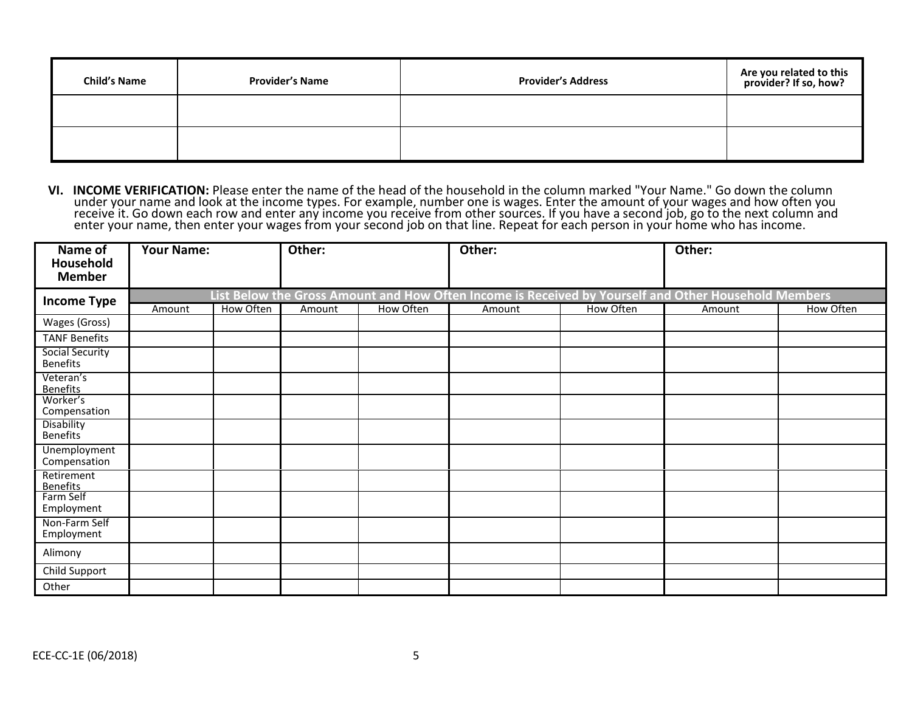| <b>Child's Name</b> | <b>Provider's Name</b> | <b>Provider's Address</b> | Are you related to this<br>provider? If so, how? |
|---------------------|------------------------|---------------------------|--------------------------------------------------|
|                     |                        |                           |                                                  |
|                     |                        |                           |                                                  |

**VI. INCOME VERIFICATION:** Please enter the name of the head of the household in the column marked "Your Name." Go down the column under your name and look at the income types. For example, number one is wages. Enter the amount of your wages and how often you receive it. Go down each row and enter any income you receive from other sources. If you have a second job, go to the next column and enter your name, then enter your wages from your second job on that line. Repeat for each person in your home who has income.

| Name of<br>Household<br><b>Member</b>     | <b>Your Name:</b> |           | Other: |           | Other: |           | Other:                                                                                               |           |
|-------------------------------------------|-------------------|-----------|--------|-----------|--------|-----------|------------------------------------------------------------------------------------------------------|-----------|
| <b>Income Type</b>                        |                   |           |        |           |        |           | List Below the Gross Amount and How Often Income is Received by Yourself and Other Household Members |           |
|                                           | Amount            | How Often | Amount | How Often | Amount | How Often | Amount                                                                                               | How Often |
| Wages (Gross)                             |                   |           |        |           |        |           |                                                                                                      |           |
| <b>TANF Benefits</b>                      |                   |           |        |           |        |           |                                                                                                      |           |
| <b>Social Security</b><br><b>Benefits</b> |                   |           |        |           |        |           |                                                                                                      |           |
| Veteran's<br><b>Benefits</b>              |                   |           |        |           |        |           |                                                                                                      |           |
| Worker's<br>Compensation                  |                   |           |        |           |        |           |                                                                                                      |           |
| Disability<br><b>Benefits</b>             |                   |           |        |           |        |           |                                                                                                      |           |
| Unemployment<br>Compensation              |                   |           |        |           |        |           |                                                                                                      |           |
| Retirement<br>Benefits<br>Farm Self       |                   |           |        |           |        |           |                                                                                                      |           |
| Employment                                |                   |           |        |           |        |           |                                                                                                      |           |
| Non-Farm Self<br>Employment               |                   |           |        |           |        |           |                                                                                                      |           |
| Alimony                                   |                   |           |        |           |        |           |                                                                                                      |           |
| Child Support                             |                   |           |        |           |        |           |                                                                                                      |           |
| Other                                     |                   |           |        |           |        |           |                                                                                                      |           |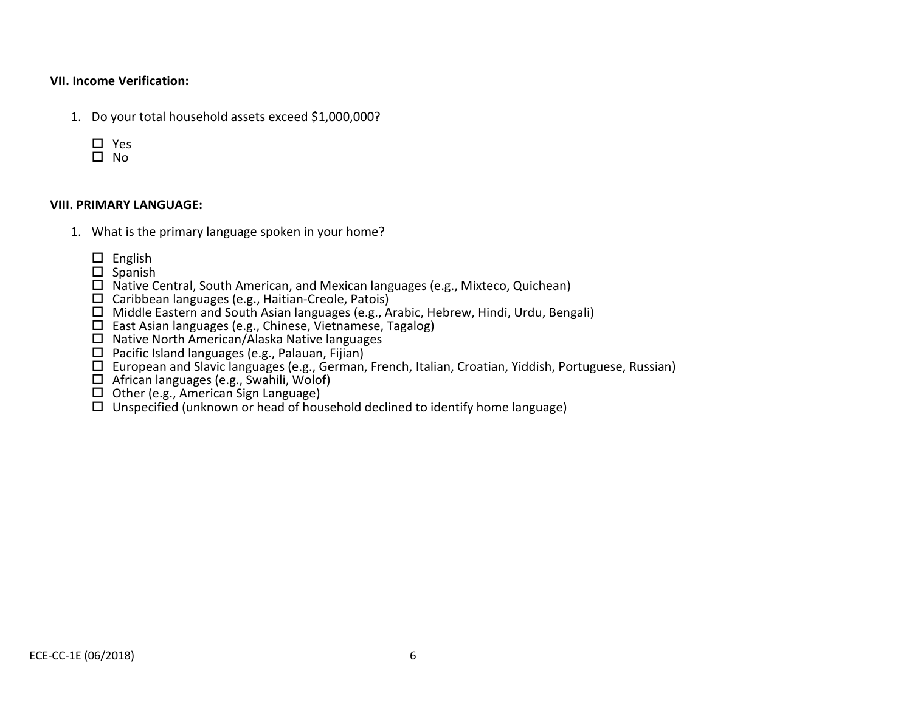### **VII. Income Verification:**

- 1. Do your total household assets exceed \$1,000,000?
	- □ Yes
	- $\square$  No

#### **VIII. PRIMARY LANGUAGE:**

- 1. What is the primary language spoken in your home?
	- $\square$  English
	- $\square$  Spanish
	- $\Box$  Native Central, South American, and Mexican languages (e.g., Mixteco, Quichean)
	- $\square$  Caribbean languages (e.g., Haitian-Creole, Patois)
	- $\Box$  Middle Eastern and South Asian languages (e.g., Arabic, Hebrew, Hindi, Urdu, Bengali)
	- $\square$  East Asian languages (e.g., Chinese, Vietnamese, Tagalog)
	- $\Box$  Native North American/Alaska Native languages
	- $\square$  Pacific Island languages (e.g., Palauan, Fijian)
	- European and Slavic languages (e.g., German, French, Italian, Croatian, Yiddish, Portuguese, Russian)
	- $\Box$  African languages (e.g., Swahili, Wolof)
	- $\Box$  Other (e.g., American Sign Language)
	- $\Box$  Unspecified (unknown or head of household declined to identify home language)